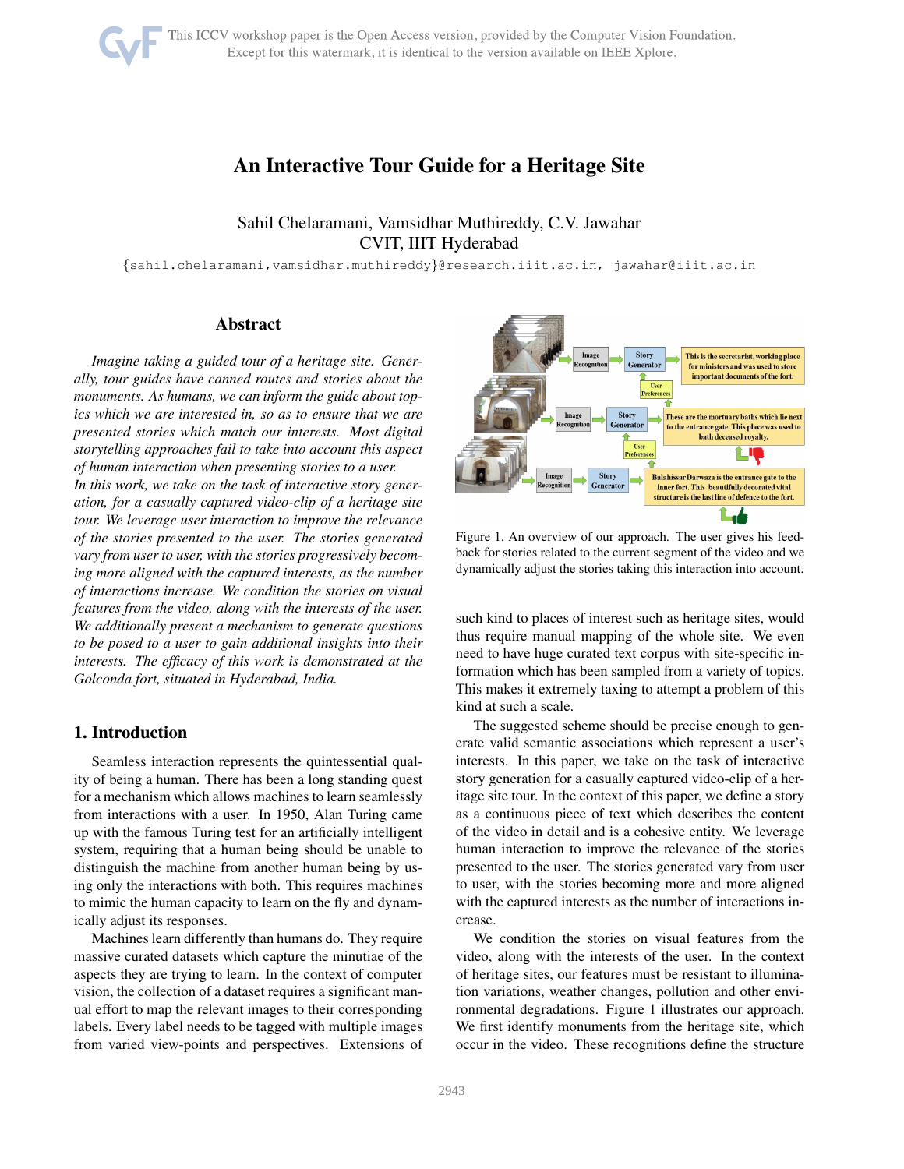# An Interactive Tour Guide for a Heritage Site

# Sahil Chelaramani, Vamsidhar Muthireddy, C.V. Jawahar CVIT, IIIT Hyderabad

{sahil.chelaramani,vamsidhar.muthireddy}@research.iiit.ac.in, jawahar@iiit.ac.in

## Abstract

*Imagine taking a guided tour of a heritage site. Generally, tour guides have canned routes and stories about the monuments. As humans, we can inform the guide about topics which we are interested in, so as to ensure that we are presented stories which match our interests. Most digital storytelling approaches fail to take into account this aspect of human interaction when presenting stories to a user. In this work, we take on the task of interactive story generation, for a casually captured video-clip of a heritage site tour. We leverage user interaction to improve the relevance of the stories presented to the user. The stories generated vary from user to user, with the stories progressively becoming more aligned with the captured interests, as the number of interactions increase. We condition the stories on visual features from the video, along with the interests of the user. We additionally present a mechanism to generate questions to be posed to a user to gain additional insights into their interests. The efficacy of this work is demonstrated at the Golconda fort, situated in Hyderabad, India.*

## 1. Introduction

Seamless interaction represents the quintessential quality of being a human. There has been a long standing quest for a mechanism which allows machines to learn seamlessly from interactions with a user. In 1950, Alan Turing came up with the famous Turing test for an artificially intelligent system, requiring that a human being should be unable to distinguish the machine from another human being by using only the interactions with both. This requires machines to mimic the human capacity to learn on the fly and dynamically adjust its responses.

Machines learn differently than humans do. They require massive curated datasets which capture the minutiae of the aspects they are trying to learn. In the context of computer vision, the collection of a dataset requires a significant manual effort to map the relevant images to their corresponding labels. Every label needs to be tagged with multiple images from varied view-points and perspectives. Extensions of



Figure 1. An overview of our approach. The user gives his feedback for stories related to the current segment of the video and we dynamically adjust the stories taking this interaction into account.

such kind to places of interest such as heritage sites, would thus require manual mapping of the whole site. We even need to have huge curated text corpus with site-specific information which has been sampled from a variety of topics. This makes it extremely taxing to attempt a problem of this kind at such a scale.

The suggested scheme should be precise enough to generate valid semantic associations which represent a user's interests. In this paper, we take on the task of interactive story generation for a casually captured video-clip of a heritage site tour. In the context of this paper, we define a story as a continuous piece of text which describes the content of the video in detail and is a cohesive entity. We leverage human interaction to improve the relevance of the stories presented to the user. The stories generated vary from user to user, with the stories becoming more and more aligned with the captured interests as the number of interactions increase.

We condition the stories on visual features from the video, along with the interests of the user. In the context of heritage sites, our features must be resistant to illumination variations, weather changes, pollution and other environmental degradations. Figure 1 illustrates our approach. We first identify monuments from the heritage site, which occur in the video. These recognitions define the structure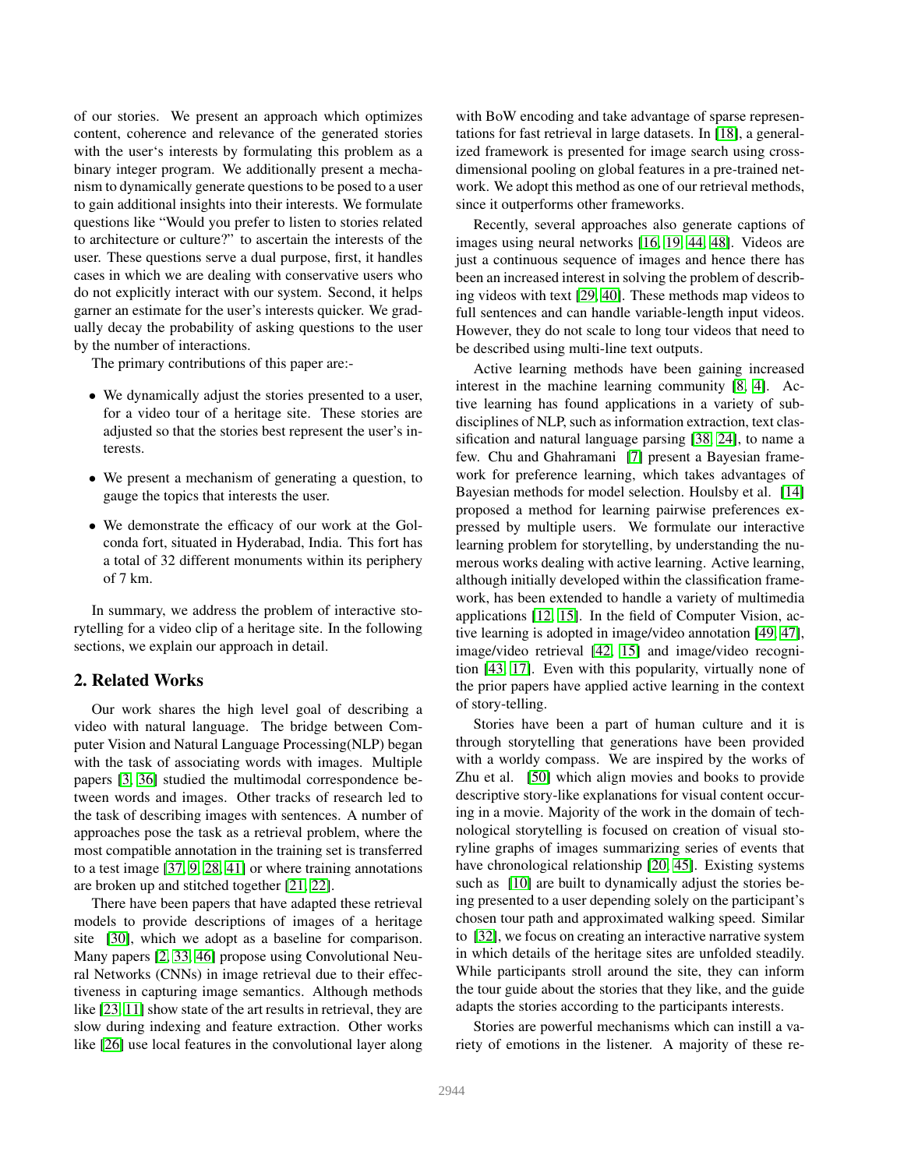of our stories. We present an approach which optimizes content, coherence and relevance of the generated stories with the user's interests by formulating this problem as a binary integer program. We additionally present a mechanism to dynamically generate questions to be posed to a user to gain additional insights into their interests. We formulate questions like "Would you prefer to listen to stories related to architecture or culture?" to ascertain the interests of the user. These questions serve a dual purpose, first, it handles cases in which we are dealing with conservative users who do not explicitly interact with our system. Second, it helps garner an estimate for the user's interests quicker. We gradually decay the probability of asking questions to the user by the number of interactions.

The primary contributions of this paper are:-

- We dynamically adjust the stories presented to a user, for a video tour of a heritage site. These stories are adjusted so that the stories best represent the user's interests.
- We present a mechanism of generating a question, to gauge the topics that interests the user.
- We demonstrate the efficacy of our work at the Golconda fort, situated in Hyderabad, India. This fort has a total of 32 different monuments within its periphery of 7 km.

In summary, we address the problem of interactive storytelling for a video clip of a heritage site. In the following sections, we explain our approach in detail.

## 2. Related Works

Our work shares the high level goal of describing a video with natural language. The bridge between Computer Vision and Natural Language Processing(NLP) began with the task of associating words with images. Multiple papers [\[3,](#page-8-0) [36\]](#page-8-1) studied the multimodal correspondence between words and images. Other tracks of research led to the task of describing images with sentences. A number of approaches pose the task as a retrieval problem, where the most compatible annotation in the training set is transferred to a test image [\[37,](#page-8-2) [9,](#page-8-3) [28,](#page-8-4) [41\]](#page-8-5) or where training annotations are broken up and stitched together [\[21,](#page-8-6) [22\]](#page-8-7).

There have been papers that have adapted these retrieval models to provide descriptions of images of a heritage site [\[30\]](#page-8-8), which we adopt as a baseline for comparison. Many papers [\[2,](#page-8-9) [33,](#page-8-10) [46\]](#page-9-0) propose using Convolutional Neural Networks (CNNs) in image retrieval due to their effectiveness in capturing image semantics. Although methods like [\[23,](#page-8-11) [11\]](#page-8-12) show state of the art results in retrieval, they are slow during indexing and feature extraction. Other works like [\[26\]](#page-8-13) use local features in the convolutional layer along with BoW encoding and take advantage of sparse representations for fast retrieval in large datasets. In [\[18\]](#page-8-14), a generalized framework is presented for image search using crossdimensional pooling on global features in a pre-trained network. We adopt this method as one of our retrieval methods, since it outperforms other frameworks.

Recently, several approaches also generate captions of images using neural networks [\[16,](#page-8-15) [19,](#page-8-16) [44,](#page-8-17) [48\]](#page-9-1). Videos are just a continuous sequence of images and hence there has been an increased interest in solving the problem of describing videos with text [\[29,](#page-8-18) [40\]](#page-8-19). These methods map videos to full sentences and can handle variable-length input videos. However, they do not scale to long tour videos that need to be described using multi-line text outputs.

Active learning methods have been gaining increased interest in the machine learning community [\[8,](#page-8-20) [4\]](#page-8-21). Active learning has found applications in a variety of subdisciplines of NLP, such as information extraction, text classification and natural language parsing [\[38,](#page-8-22) [24\]](#page-8-23), to name a few. Chu and Ghahramani [\[7\]](#page-8-24) present a Bayesian framework for preference learning, which takes advantages of Bayesian methods for model selection. Houlsby et al. [\[14\]](#page-8-25) proposed a method for learning pairwise preferences expressed by multiple users. We formulate our interactive learning problem for storytelling, by understanding the numerous works dealing with active learning. Active learning, although initially developed within the classification framework, has been extended to handle a variety of multimedia applications [\[12,](#page-8-26) [15\]](#page-8-27). In the field of Computer Vision, active learning is adopted in image/video annotation [\[49,](#page-9-2) [47\]](#page-9-3), image/video retrieval [\[42,](#page-8-28) [15\]](#page-8-27) and image/video recognition [\[43,](#page-8-29) [17\]](#page-8-30). Even with this popularity, virtually none of the prior papers have applied active learning in the context of story-telling.

Stories have been a part of human culture and it is through storytelling that generations have been provided with a worldy compass. We are inspired by the works of Zhu et al. [\[50\]](#page-9-4) which align movies and books to provide descriptive story-like explanations for visual content occuring in a movie. Majority of the work in the domain of technological storytelling is focused on creation of visual storyline graphs of images summarizing series of events that have chronological relationship [\[20,](#page-8-31) [45\]](#page-9-5). Existing systems such as [\[10\]](#page-8-32) are built to dynamically adjust the stories being presented to a user depending solely on the participant's chosen tour path and approximated walking speed. Similar to [\[32\]](#page-8-33), we focus on creating an interactive narrative system in which details of the heritage sites are unfolded steadily. While participants stroll around the site, they can inform the tour guide about the stories that they like, and the guide adapts the stories according to the participants interests.

Stories are powerful mechanisms which can instill a variety of emotions in the listener. A majority of these re-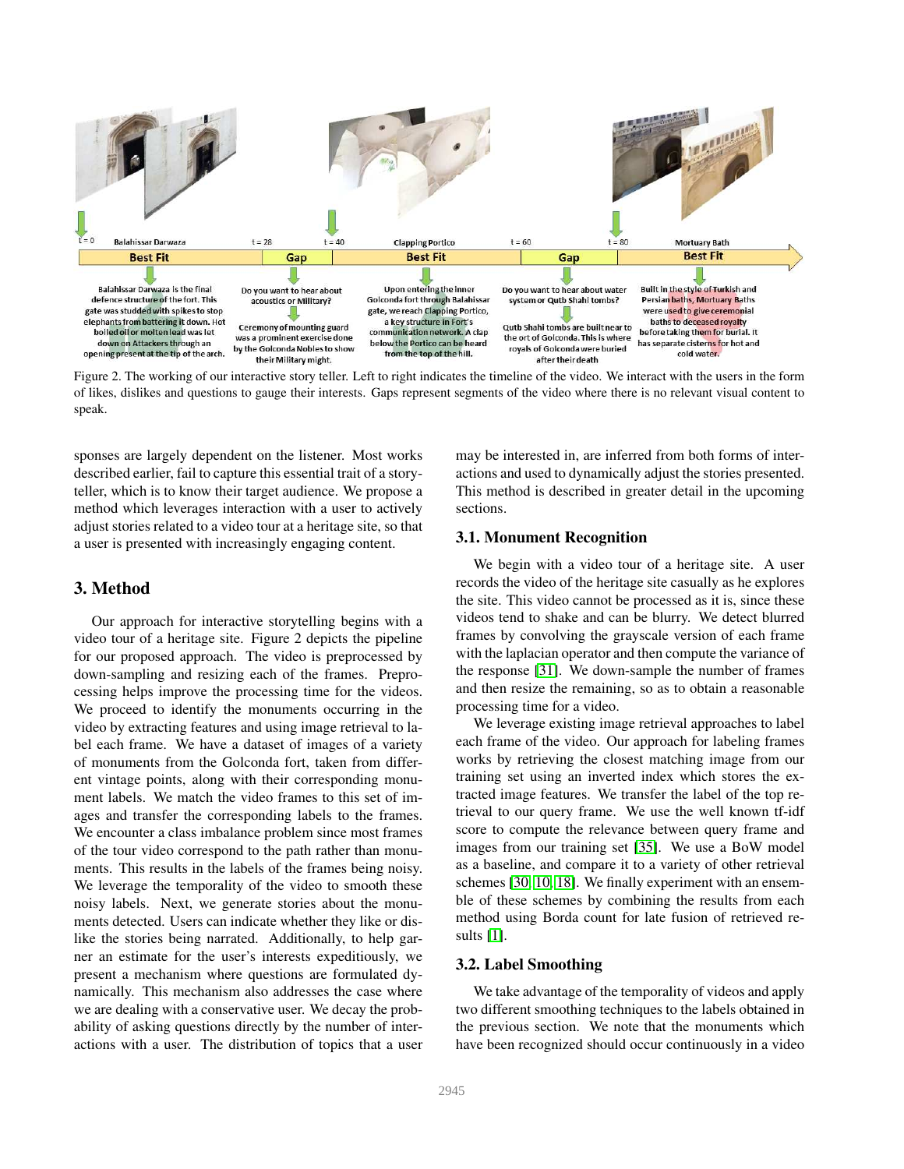

Figure 2. The working of our interactive story teller. Left to right indicates the timeline of the video. We interact with the users in the form of likes, dislikes and questions to gauge their interests. Gaps represent segments of the video where there is no relevant visual content to speak.

sponses are largely dependent on the listener. Most works described earlier, fail to capture this essential trait of a storyteller, which is to know their target audience. We propose a method which leverages interaction with a user to actively adjust stories related to a video tour at a heritage site, so that a user is presented with increasingly engaging content.

## 3. Method

Our approach for interactive storytelling begins with a video tour of a heritage site. Figure 2 depicts the pipeline for our proposed approach. The video is preprocessed by down-sampling and resizing each of the frames. Preprocessing helps improve the processing time for the videos. We proceed to identify the monuments occurring in the video by extracting features and using image retrieval to label each frame. We have a dataset of images of a variety of monuments from the Golconda fort, taken from different vintage points, along with their corresponding monument labels. We match the video frames to this set of images and transfer the corresponding labels to the frames. We encounter a class imbalance problem since most frames of the tour video correspond to the path rather than monuments. This results in the labels of the frames being noisy. We leverage the temporality of the video to smooth these noisy labels. Next, we generate stories about the monuments detected. Users can indicate whether they like or dislike the stories being narrated. Additionally, to help garner an estimate for the user's interests expeditiously, we present a mechanism where questions are formulated dynamically. This mechanism also addresses the case where we are dealing with a conservative user. We decay the probability of asking questions directly by the number of interactions with a user. The distribution of topics that a user may be interested in, are inferred from both forms of interactions and used to dynamically adjust the stories presented. This method is described in greater detail in the upcoming sections.

## 3.1. Monument Recognition

We begin with a video tour of a heritage site. A user records the video of the heritage site casually as he explores the site. This video cannot be processed as it is, since these videos tend to shake and can be blurry. We detect blurred frames by convolving the grayscale version of each frame with the laplacian operator and then compute the variance of the response [\[31\]](#page-8-34). We down-sample the number of frames and then resize the remaining, so as to obtain a reasonable processing time for a video.

We leverage existing image retrieval approaches to label each frame of the video. Our approach for labeling frames works by retrieving the closest matching image from our training set using an inverted index which stores the extracted image features. We transfer the label of the top retrieval to our query frame. We use the well known tf-idf score to compute the relevance between query frame and images from our training set [\[35\]](#page-8-35). We use a BoW model as a baseline, and compare it to a variety of other retrieval schemes [\[30,](#page-8-8) [10,](#page-8-32) [18\]](#page-8-14). We finally experiment with an ensemble of these schemes by combining the results from each method using Borda count for late fusion of retrieved results [\[1\]](#page-7-0).

#### 3.2. Label Smoothing

We take advantage of the temporality of videos and apply two different smoothing techniques to the labels obtained in the previous section. We note that the monuments which have been recognized should occur continuously in a video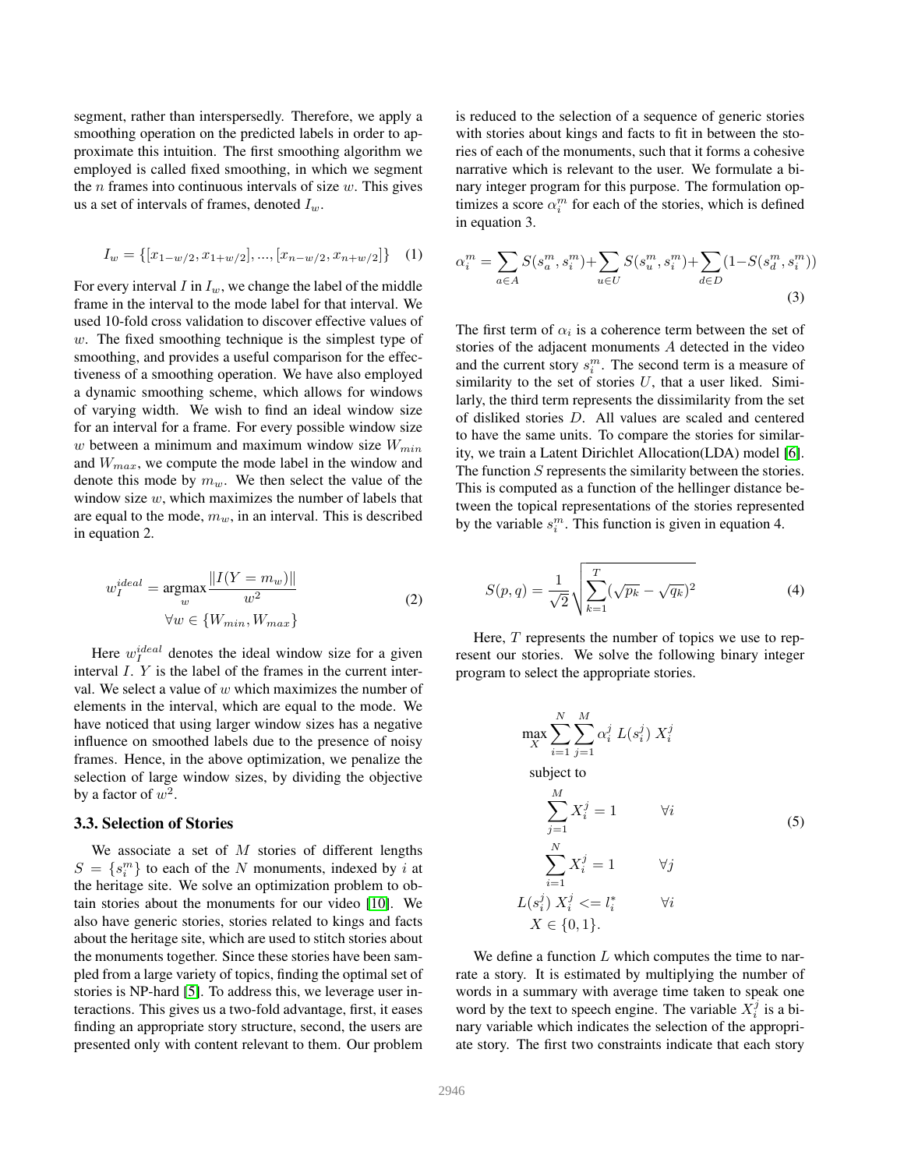segment, rather than interspersedly. Therefore, we apply a smoothing operation on the predicted labels in order to approximate this intuition. The first smoothing algorithm we employed is called fixed smoothing, in which we segment the  $n$  frames into continuous intervals of size  $w$ . This gives us a set of intervals of frames, denoted  $I_w$ .

$$
I_w = \{ [x_{1-w/2}, x_{1+w/2}], ..., [x_{n-w/2}, x_{n+w/2}] \} \quad (1)
$$

For every interval I in  $I_w$ , we change the label of the middle frame in the interval to the mode label for that interval. We used 10-fold cross validation to discover effective values of  $w$ . The fixed smoothing technique is the simplest type of smoothing, and provides a useful comparison for the effectiveness of a smoothing operation. We have also employed a dynamic smoothing scheme, which allows for windows of varying width. We wish to find an ideal window size for an interval for a frame. For every possible window size w between a minimum and maximum window size  $W_{min}$ and  $W_{max}$ , we compute the mode label in the window and denote this mode by  $m_w$ . We then select the value of the window size  $w$ , which maximizes the number of labels that are equal to the mode,  $m_w$ , in an interval. This is described in equation 2.

$$
w_I^{ideal} = \underset{w}{\operatorname{argmax}} \frac{\|I(Y = m_w)\|}{w^2}
$$
  

$$
\forall w \in \{W_{min}, W_{max}\}\tag{2}
$$

Here  $w_I^{ideal}$  denotes the ideal window size for a given interval I. Y is the label of the frames in the current interval. We select a value of  $w$  which maximizes the number of elements in the interval, which are equal to the mode. We have noticed that using larger window sizes has a negative influence on smoothed labels due to the presence of noisy frames. Hence, in the above optimization, we penalize the selection of large window sizes, by dividing the objective by a factor of  $w^2$ .

#### 3.3. Selection of Stories

We associate a set of  $M$  stories of different lengths  $S = \{s_i^m\}$  to each of the N monuments, indexed by i at the heritage site. We solve an optimization problem to obtain stories about the monuments for our video [\[10\]](#page-8-32). We also have generic stories, stories related to kings and facts about the heritage site, which are used to stitch stories about the monuments together. Since these stories have been sampled from a large variety of topics, finding the optimal set of stories is NP-hard [\[5\]](#page-8-36). To address this, we leverage user interactions. This gives us a two-fold advantage, first, it eases finding an appropriate story structure, second, the users are presented only with content relevant to them. Our problem

is reduced to the selection of a sequence of generic stories with stories about kings and facts to fit in between the stories of each of the monuments, such that it forms a cohesive narrative which is relevant to the user. We formulate a binary integer program for this purpose. The formulation optimizes a score  $\alpha_i^m$  for each of the stories, which is defined in equation 3.

$$
\alpha_i^m = \sum_{a \in A} S(s_a^m, s_i^m) + \sum_{u \in U} S(s_u^m, s_i^m) + \sum_{d \in D} (1 - S(s_d^m, s_i^m))
$$
\n(3)

The first term of  $\alpha_i$  is a coherence term between the set of stories of the adjacent monuments A detected in the video and the current story  $s_i^m$ . The second term is a measure of similarity to the set of stories  $U$ , that a user liked. Similarly, the third term represents the dissimilarity from the set of disliked stories D. All values are scaled and centered to have the same units. To compare the stories for similarity, we train a Latent Dirichlet Allocation(LDA) model [\[6\]](#page-8-37). The function S represents the similarity between the stories. This is computed as a function of the hellinger distance between the topical representations of the stories represented by the variable  $s_i^m$ . This function is given in equation 4.

$$
S(p,q) = \frac{1}{\sqrt{2}} \sqrt{\sum_{k=1}^{T} (\sqrt{p_k} - \sqrt{q_k})^2}
$$
 (4)

Here,  $T$  represents the number of topics we use to represent our stories. We solve the following binary integer program to select the appropriate stories.

$$
\max_{X} \sum_{i=1}^{N} \sum_{j=1}^{M} \alpha_i^j L(s_i^j) X_i^j
$$
\nsubject to\n
$$
\sum_{j=1}^{M} X_i^j = 1 \qquad \forall i
$$
\n
$$
\sum_{i=1}^{N} X_i^j = 1 \qquad \forall j
$$
\n
$$
L(s_i^j) X_i^j \leq l_i^* \qquad \forall i
$$
\n
$$
X \in \{0, 1\}.
$$
\n(5)

We define a function  $L$  which computes the time to narrate a story. It is estimated by multiplying the number of words in a summary with average time taken to speak one word by the text to speech engine. The variable  $X_i^j$  is a binary variable which indicates the selection of the appropriate story. The first two constraints indicate that each story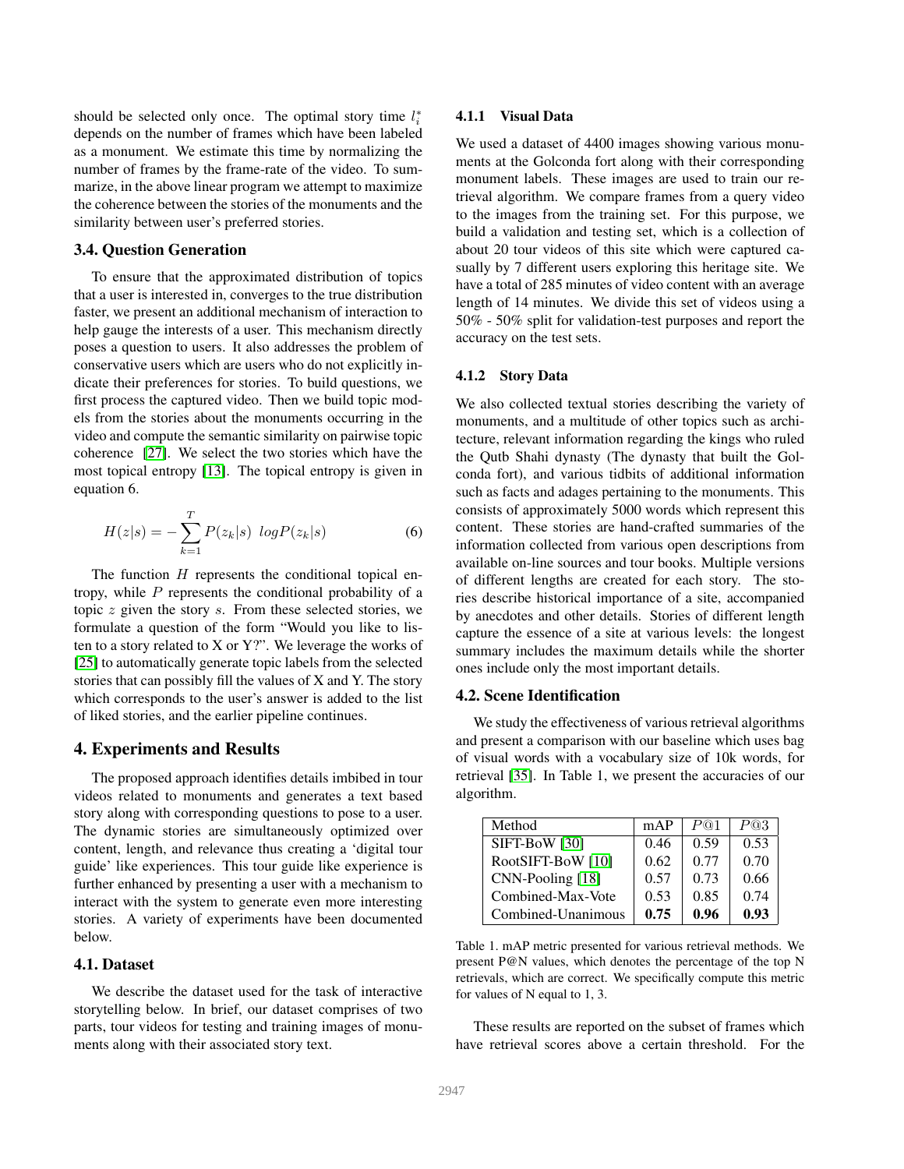should be selected only once. The optimal story time  $l_i^*$ depends on the number of frames which have been labeled as a monument. We estimate this time by normalizing the number of frames by the frame-rate of the video. To summarize, in the above linear program we attempt to maximize the coherence between the stories of the monuments and the similarity between user's preferred stories.

## 3.4. Question Generation

To ensure that the approximated distribution of topics that a user is interested in, converges to the true distribution faster, we present an additional mechanism of interaction to help gauge the interests of a user. This mechanism directly poses a question to users. It also addresses the problem of conservative users which are users who do not explicitly indicate their preferences for stories. To build questions, we first process the captured video. Then we build topic models from the stories about the monuments occurring in the video and compute the semantic similarity on pairwise topic coherence [\[27\]](#page-8-38). We select the two stories which have the most topical entropy [\[13\]](#page-8-39). The topical entropy is given in equation 6.

$$
H(z|s) = -\sum_{k=1}^{T} P(z_k|s) \log P(z_k|s)
$$
 (6)

The function  $H$  represents the conditional topical entropy, while  $P$  represents the conditional probability of a topic  $z$  given the story  $s$ . From these selected stories, we formulate a question of the form "Would you like to listen to a story related to  $X$  or  $Y$ ?". We leverage the works of [\[25\]](#page-8-40) to automatically generate topic labels from the selected stories that can possibly fill the values of X and Y. The story which corresponds to the user's answer is added to the list of liked stories, and the earlier pipeline continues.

### 4. Experiments and Results

The proposed approach identifies details imbibed in tour videos related to monuments and generates a text based story along with corresponding questions to pose to a user. The dynamic stories are simultaneously optimized over content, length, and relevance thus creating a 'digital tour guide' like experiences. This tour guide like experience is further enhanced by presenting a user with a mechanism to interact with the system to generate even more interesting stories. A variety of experiments have been documented below.

## 4.1. Dataset

We describe the dataset used for the task of interactive storytelling below. In brief, our dataset comprises of two parts, tour videos for testing and training images of monuments along with their associated story text.

#### 4.1.1 Visual Data

We used a dataset of 4400 images showing various monuments at the Golconda fort along with their corresponding monument labels. These images are used to train our retrieval algorithm. We compare frames from a query video to the images from the training set. For this purpose, we build a validation and testing set, which is a collection of about 20 tour videos of this site which were captured casually by 7 different users exploring this heritage site. We have a total of 285 minutes of video content with an average length of 14 minutes. We divide this set of videos using a 50% - 50% split for validation-test purposes and report the accuracy on the test sets.

#### 4.1.2 Story Data

We also collected textual stories describing the variety of monuments, and a multitude of other topics such as architecture, relevant information regarding the kings who ruled the Qutb Shahi dynasty (The dynasty that built the Golconda fort), and various tidbits of additional information such as facts and adages pertaining to the monuments. This consists of approximately 5000 words which represent this content. These stories are hand-crafted summaries of the information collected from various open descriptions from available on-line sources and tour books. Multiple versions of different lengths are created for each story. The stories describe historical importance of a site, accompanied by anecdotes and other details. Stories of different length capture the essence of a site at various levels: the longest summary includes the maximum details while the shorter ones include only the most important details.

#### 4.2. Scene Identification

We study the effectiveness of various retrieval algorithms and present a comparison with our baseline which uses bag of visual words with a vocabulary size of 10k words, for retrieval [\[35\]](#page-8-35). In Table 1, we present the accuracies of our algorithm.

| Method             | mAP  | P@1  | P@3  |
|--------------------|------|------|------|
| SIFT-BoW [30]      | 0.46 | 0.59 | 0.53 |
| RootSIFT-BoW [10]  | 0.62 | 0.77 | 0.70 |
| CNN-Pooling [18]   | 0.57 | 0.73 | 0.66 |
| Combined-Max-Vote  | 0.53 | 0.85 | 0.74 |
| Combined-Unanimous | 0.75 | 0.96 | 0.93 |

Table 1. mAP metric presented for various retrieval methods. We present P@N values, which denotes the percentage of the top N retrievals, which are correct. We specifically compute this metric for values of N equal to 1, 3.

These results are reported on the subset of frames which have retrieval scores above a certain threshold. For the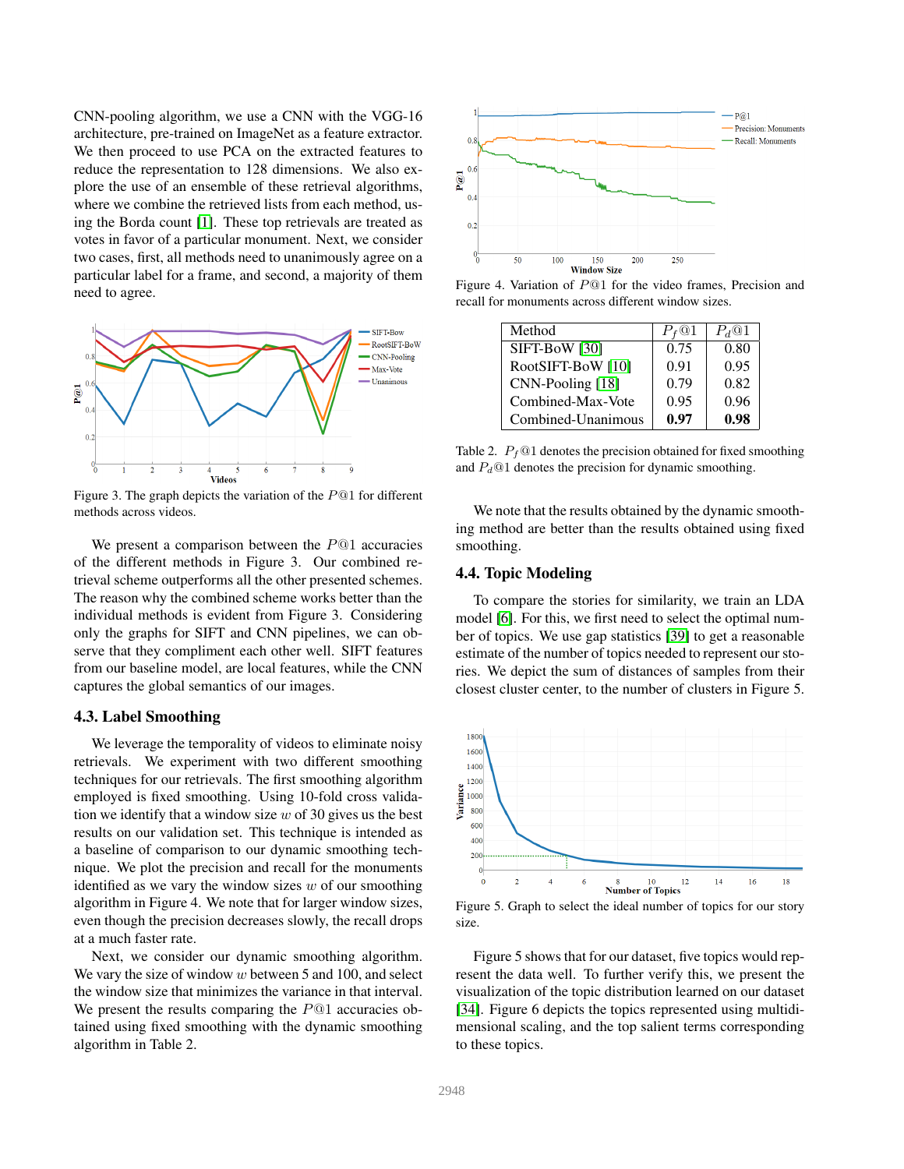CNN-pooling algorithm, we use a CNN with the VGG-16 architecture, pre-trained on ImageNet as a feature extractor. We then proceed to use PCA on the extracted features to reduce the representation to 128 dimensions. We also explore the use of an ensemble of these retrieval algorithms, where we combine the retrieved lists from each method, using the Borda count [\[1\]](#page-7-0). These top retrievals are treated as votes in favor of a particular monument. Next, we consider two cases, first, all methods need to unanimously agree on a particular label for a frame, and second, a majority of them need to agree.



Figure 3. The graph depicts the variation of the P@1 for different methods across videos.

We present a comparison between the  $P@1$  accuracies of the different methods in Figure 3. Our combined retrieval scheme outperforms all the other presented schemes. The reason why the combined scheme works better than the individual methods is evident from Figure 3. Considering only the graphs for SIFT and CNN pipelines, we can observe that they compliment each other well. SIFT features from our baseline model, are local features, while the CNN captures the global semantics of our images.

#### 4.3. Label Smoothing

We leverage the temporality of videos to eliminate noisy retrievals. We experiment with two different smoothing techniques for our retrievals. The first smoothing algorithm employed is fixed smoothing. Using 10-fold cross validation we identify that a window size  $w$  of 30 gives us the best results on our validation set. This technique is intended as a baseline of comparison to our dynamic smoothing technique. We plot the precision and recall for the monuments identified as we vary the window sizes  $w$  of our smoothing algorithm in Figure 4. We note that for larger window sizes, even though the precision decreases slowly, the recall drops at a much faster rate.

Next, we consider our dynamic smoothing algorithm. We vary the size of window  $w$  between 5 and 100, and select the window size that minimizes the variance in that interval. We present the results comparing the  $P@1$  accuracies obtained using fixed smoothing with the dynamic smoothing algorithm in Table 2.



Figure 4. Variation of P@1 for the video frames, Precision and recall for monuments across different window sizes.

| Method             | $P_{f}$ @1 | $P_d@1$ |
|--------------------|------------|---------|
| SIFT-BoW [30]      | 0.75       | 0.80    |
| RootSIFT-BoW [10]  | 0.91       | 0.95    |
| CNN-Pooling [18]   | 0.79       | 0.82    |
| Combined-Max-Vote  | 0.95       | 0.96    |
| Combined-Unanimous | 0.97       | 0.98    |

Table 2.  $P_f$  (01 denotes the precision obtained for fixed smoothing and  $P_d@1$  denotes the precision for dynamic smoothing.

We note that the results obtained by the dynamic smoothing method are better than the results obtained using fixed smoothing.

## 4.4. Topic Modeling

To compare the stories for similarity, we train an LDA model [\[6\]](#page-8-37). For this, we first need to select the optimal number of topics. We use gap statistics [\[39\]](#page-8-41) to get a reasonable estimate of the number of topics needed to represent our stories. We depict the sum of distances of samples from their closest cluster center, to the number of clusters in Figure 5.



Figure 5. Graph to select the ideal number of topics for our story size.

Figure 5 shows that for our dataset, five topics would represent the data well. To further verify this, we present the visualization of the topic distribution learned on our dataset [\[34\]](#page-8-42). Figure 6 depicts the topics represented using multidimensional scaling, and the top salient terms corresponding to these topics.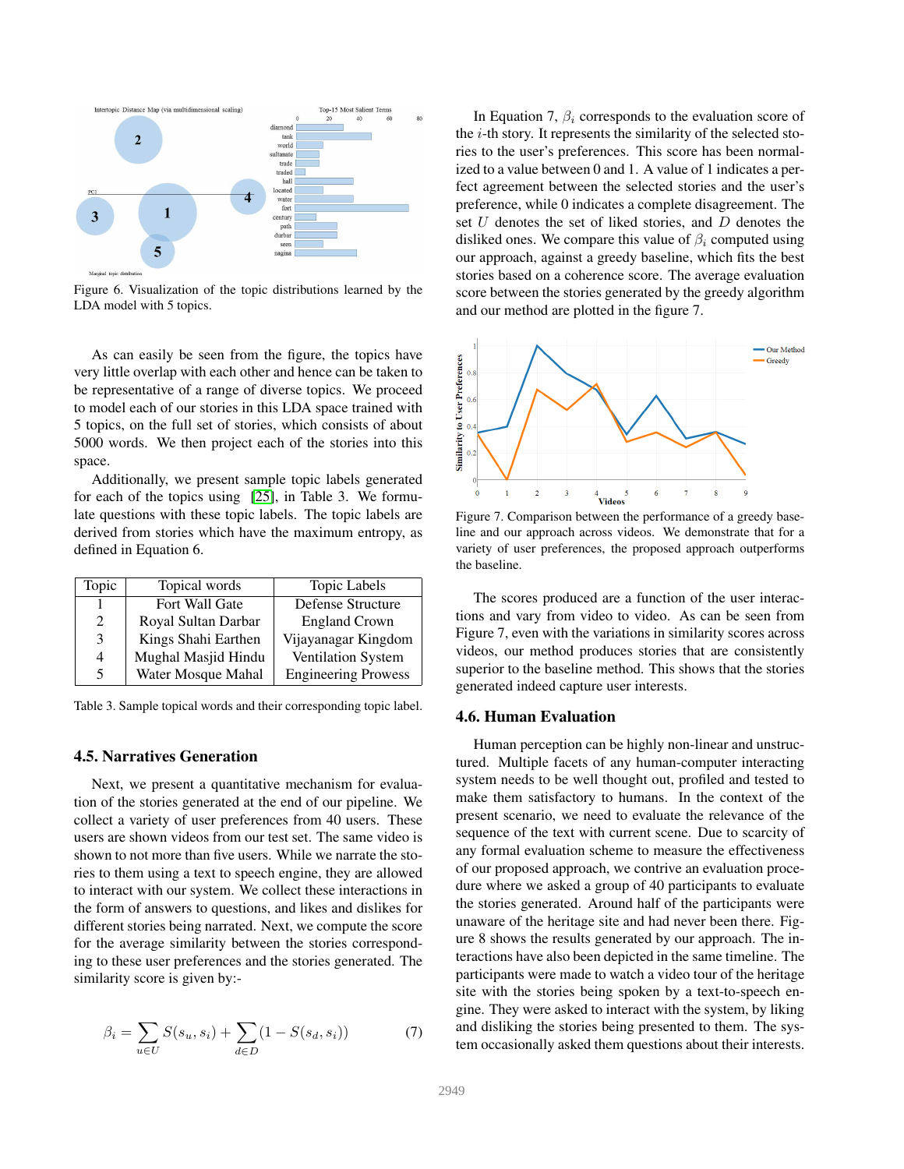

Figure 6. Visualization of the topic distributions learned by the LDA model with 5 topics.

As can easily be seen from the figure, the topics have very little overlap with each other and hence can be taken to be representative of a range of diverse topics. We proceed to model each of our stories in this LDA space trained with 5 topics, on the full set of stories, which consists of about 5000 words. We then project each of the stories into this space.

Additionally, we present sample topic labels generated for each of the topics using [\[25\]](#page-8-40), in Table 3. We formulate questions with these topic labels. The topic labels are derived from stories which have the maximum entropy, as defined in Equation 6.

| Topic                       | Topical words       | <b>Topic Labels</b>        |
|-----------------------------|---------------------|----------------------------|
|                             | Fort Wall Gate      | Defense Structure          |
| $\mathcal{D}_{\mathcal{L}}$ | Royal Sultan Darbar | <b>England Crown</b>       |
| 3                           | Kings Shahi Earthen | Vijayanagar Kingdom        |
| 4                           | Mughal Masjid Hindu | Ventilation System         |
| 5                           | Water Mosque Mahal  | <b>Engineering Prowess</b> |

Table 3. Sample topical words and their corresponding topic label.

### 4.5. Narratives Generation

Next, we present a quantitative mechanism for evaluation of the stories generated at the end of our pipeline. We collect a variety of user preferences from 40 users. These users are shown videos from our test set. The same video is shown to not more than five users. While we narrate the stories to them using a text to speech engine, they are allowed to interact with our system. We collect these interactions in the form of answers to questions, and likes and dislikes for different stories being narrated. Next, we compute the score for the average similarity between the stories corresponding to these user preferences and the stories generated. The similarity score is given by:-

$$
\beta_i = \sum_{u \in U} S(s_u, s_i) + \sum_{d \in D} (1 - S(s_d, s_i))
$$
(7)

In Equation 7,  $\beta_i$  corresponds to the evaluation score of the  $i$ -th story. It represents the similarity of the selected stories to the user's preferences. This score has been normalized to a value between 0 and 1. A value of 1 indicates a perfect agreement between the selected stories and the user's preference, while 0 indicates a complete disagreement. The set U denotes the set of liked stories, and D denotes the disliked ones. We compare this value of  $\beta_i$  computed using our approach, against a greedy baseline, which fits the best stories based on a coherence score. The average evaluation score between the stories generated by the greedy algorithm and our method are plotted in the figure 7.



Figure 7. Comparison between the performance of a greedy baseline and our approach across videos. We demonstrate that for a variety of user preferences, the proposed approach outperforms the baseline.

The scores produced are a function of the user interactions and vary from video to video. As can be seen from Figure 7, even with the variations in similarity scores across videos, our method produces stories that are consistently superior to the baseline method. This shows that the stories generated indeed capture user interests.

#### 4.6. Human Evaluation

Human perception can be highly non-linear and unstructured. Multiple facets of any human-computer interacting system needs to be well thought out, profiled and tested to make them satisfactory to humans. In the context of the present scenario, we need to evaluate the relevance of the sequence of the text with current scene. Due to scarcity of any formal evaluation scheme to measure the effectiveness of our proposed approach, we contrive an evaluation procedure where we asked a group of 40 participants to evaluate the stories generated. Around half of the participants were unaware of the heritage site and had never been there. Figure 8 shows the results generated by our approach. The interactions have also been depicted in the same timeline. The participants were made to watch a video tour of the heritage site with the stories being spoken by a text-to-speech engine. They were asked to interact with the system, by liking and disliking the stories being presented to them. The system occasionally asked them questions about their interests.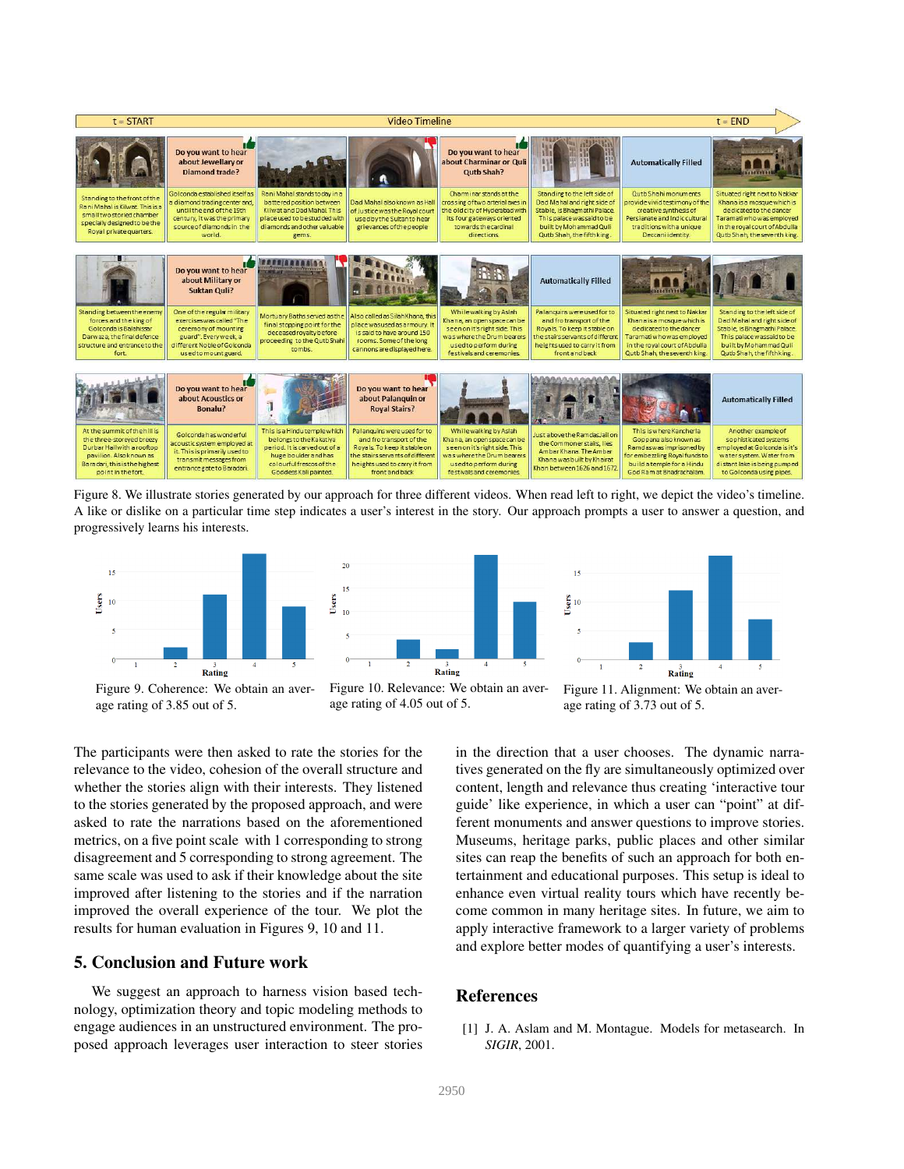

Figure 8. We illustrate stories generated by our approach for three different videos. When read left to right, we depict the video's timeline. A like or dislike on a particular time step indicates a user's interest in the story. Our approach prompts a user to answer a question, and progressively learns his interests.



Figure 9. Coherence: We obtain an average rating of 3.85 out of 5.



Figure 11. Alignment: We obtain an average rating of 3.73 out of 5.

The participants were then asked to rate the stories for the relevance to the video, cohesion of the overall structure and whether the stories align with their interests. They listened to the stories generated by the proposed approach, and were asked to rate the narrations based on the aforementioned metrics, on a five point scale with 1 corresponding to strong disagreement and 5 corresponding to strong agreement. The same scale was used to ask if their knowledge about the site improved after listening to the stories and if the narration improved the overall experience of the tour. We plot the results for human evaluation in Figures 9, 10 and 11.

## 5. Conclusion and Future work

We suggest an approach to harness vision based technology, optimization theory and topic modeling methods to engage audiences in an unstructured environment. The proposed approach leverages user interaction to steer stories in the direction that a user chooses. The dynamic narratives generated on the fly are simultaneously optimized over content, length and relevance thus creating 'interactive tour guide' like experience, in which a user can "point" at different monuments and answer questions to improve stories. Museums, heritage parks, public places and other similar sites can reap the benefits of such an approach for both entertainment and educational purposes. This setup is ideal to enhance even virtual reality tours which have recently become common in many heritage sites. In future, we aim to apply interactive framework to a larger variety of problems and explore better modes of quantifying a user's interests.

### References

<span id="page-7-0"></span>[1] J. A. Aslam and M. Montague. Models for metasearch. In *SIGIR*, 2001.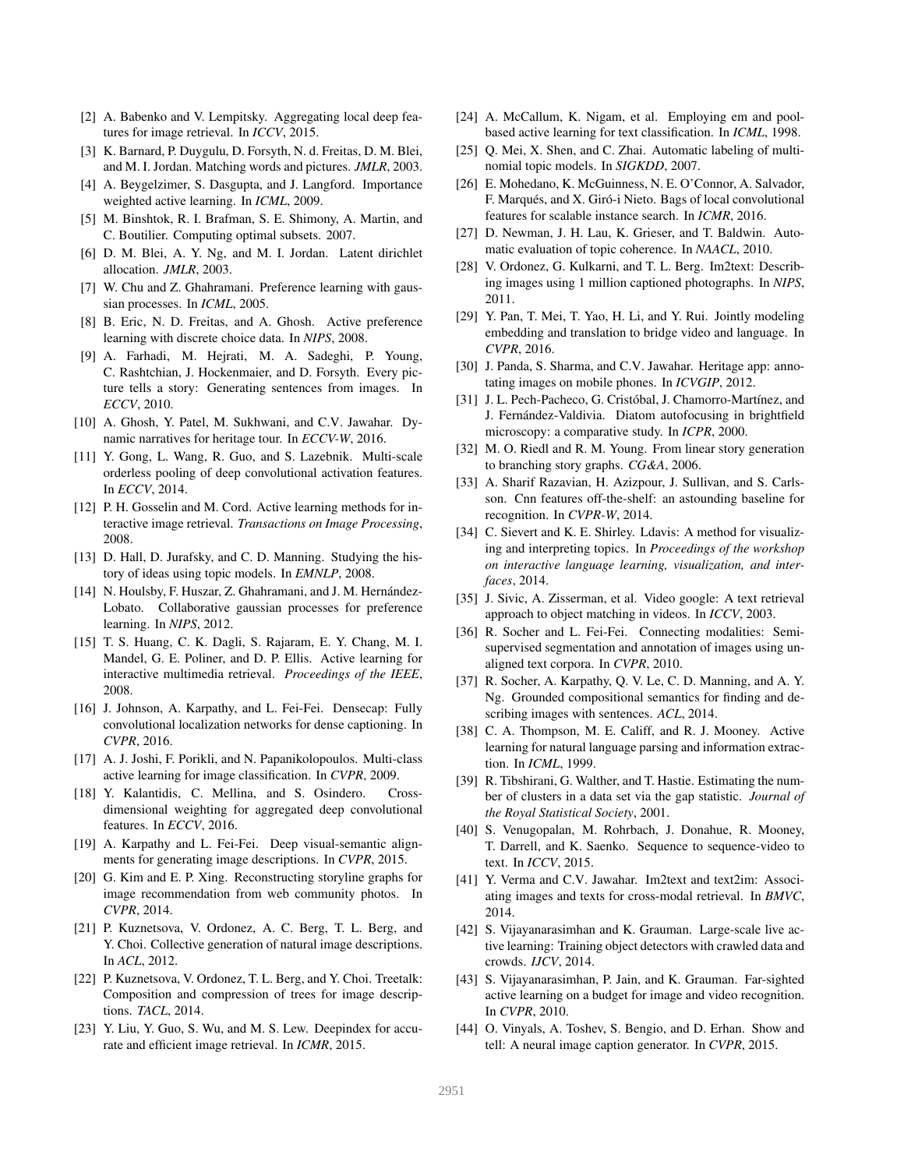- <span id="page-8-9"></span>[2] A. Babenko and V. Lempitsky. Aggregating local deep features for image retrieval. In *ICCV*, 2015.
- <span id="page-8-0"></span>[3] K. Barnard, P. Duygulu, D. Forsyth, N. d. Freitas, D. M. Blei, and M. I. Jordan. Matching words and pictures. *JMLR*, 2003.
- <span id="page-8-21"></span>[4] A. Beygelzimer, S. Dasgupta, and J. Langford. Importance weighted active learning. In *ICML*, 2009.
- <span id="page-8-36"></span>[5] M. Binshtok, R. I. Brafman, S. E. Shimony, A. Martin, and C. Boutilier. Computing optimal subsets. 2007.
- <span id="page-8-37"></span>[6] D. M. Blei, A. Y. Ng, and M. I. Jordan. Latent dirichlet allocation. *JMLR*, 2003.
- <span id="page-8-24"></span>[7] W. Chu and Z. Ghahramani. Preference learning with gaussian processes. In *ICML*, 2005.
- <span id="page-8-20"></span>[8] B. Eric, N. D. Freitas, and A. Ghosh. Active preference learning with discrete choice data. In *NIPS*, 2008.
- <span id="page-8-3"></span>[9] A. Farhadi, M. Hejrati, M. A. Sadeghi, P. Young, C. Rashtchian, J. Hockenmaier, and D. Forsyth. Every picture tells a story: Generating sentences from images. In *ECCV*, 2010.
- <span id="page-8-32"></span>[10] A. Ghosh, Y. Patel, M. Sukhwani, and C.V. Jawahar. Dynamic narratives for heritage tour. In *ECCV-W*, 2016.
- <span id="page-8-12"></span>[11] Y. Gong, L. Wang, R. Guo, and S. Lazebnik. Multi-scale orderless pooling of deep convolutional activation features. In *ECCV*, 2014.
- <span id="page-8-26"></span>[12] P. H. Gosselin and M. Cord. Active learning methods for interactive image retrieval. *Transactions on Image Processing*, 2008.
- <span id="page-8-39"></span>[13] D. Hall, D. Jurafsky, and C. D. Manning. Studying the history of ideas using topic models. In *EMNLP*, 2008.
- <span id="page-8-25"></span>[14] N. Houlsby, F. Huszar, Z. Ghahramani, and J. M. Hernández-Lobato. Collaborative gaussian processes for preference learning. In *NIPS*, 2012.
- <span id="page-8-27"></span>[15] T. S. Huang, C. K. Dagli, S. Rajaram, E. Y. Chang, M. I. Mandel, G. E. Poliner, and D. P. Ellis. Active learning for interactive multimedia retrieval. *Proceedings of the IEEE*, 2008.
- <span id="page-8-15"></span>[16] J. Johnson, A. Karpathy, and L. Fei-Fei. Densecap: Fully convolutional localization networks for dense captioning. In *CVPR*, 2016.
- <span id="page-8-30"></span>[17] A. J. Joshi, F. Porikli, and N. Papanikolopoulos. Multi-class active learning for image classification. In *CVPR*, 2009.
- <span id="page-8-14"></span>[18] Y. Kalantidis, C. Mellina, and S. Osindero. Crossdimensional weighting for aggregated deep convolutional features. In *ECCV*, 2016.
- <span id="page-8-16"></span>[19] A. Karpathy and L. Fei-Fei. Deep visual-semantic alignments for generating image descriptions. In *CVPR*, 2015.
- <span id="page-8-31"></span>[20] G. Kim and E. P. Xing. Reconstructing storyline graphs for image recommendation from web community photos. In *CVPR*, 2014.
- <span id="page-8-6"></span>[21] P. Kuznetsova, V. Ordonez, A. C. Berg, T. L. Berg, and Y. Choi. Collective generation of natural image descriptions. In *ACL*, 2012.
- <span id="page-8-7"></span>[22] P. Kuznetsova, V. Ordonez, T. L. Berg, and Y. Choi. Treetalk: Composition and compression of trees for image descriptions. *TACL*, 2014.
- <span id="page-8-11"></span>[23] Y. Liu, Y. Guo, S. Wu, and M. S. Lew. Deepindex for accurate and efficient image retrieval. In *ICMR*, 2015.
- <span id="page-8-23"></span>[24] A. McCallum, K. Nigam, et al. Employing em and poolbased active learning for text classification. In *ICML*, 1998.
- <span id="page-8-40"></span>[25] Q. Mei, X. Shen, and C. Zhai. Automatic labeling of multinomial topic models. In *SIGKDD*, 2007.
- <span id="page-8-13"></span>[26] E. Mohedano, K. McGuinness, N. E. O'Connor, A. Salvador, F. Marqués, and X. Giró-i Nieto. Bags of local convolutional features for scalable instance search. In *ICMR*, 2016.
- <span id="page-8-38"></span>[27] D. Newman, J. H. Lau, K. Grieser, and T. Baldwin. Automatic evaluation of topic coherence. In *NAACL*, 2010.
- <span id="page-8-4"></span>[28] V. Ordonez, G. Kulkarni, and T. L. Berg. Im2text: Describing images using 1 million captioned photographs. In *NIPS*, 2011.
- <span id="page-8-18"></span>[29] Y. Pan, T. Mei, T. Yao, H. Li, and Y. Rui. Jointly modeling embedding and translation to bridge video and language. In *CVPR*, 2016.
- <span id="page-8-8"></span>[30] J. Panda, S. Sharma, and C.V. Jawahar. Heritage app: annotating images on mobile phones. In *ICVGIP*, 2012.
- <span id="page-8-34"></span>[31] J. L. Pech-Pacheco, G. Cristóbal, J. Chamorro-Martínez, and J. Fernández-Valdivia. Diatom autofocusing in brightfield microscopy: a comparative study. In *ICPR*, 2000.
- <span id="page-8-33"></span>[32] M. O. Riedl and R. M. Young. From linear story generation to branching story graphs. *CG&A*, 2006.
- <span id="page-8-10"></span>[33] A. Sharif Razavian, H. Azizpour, J. Sullivan, and S. Carlsson. Cnn features off-the-shelf: an astounding baseline for recognition. In *CVPR-W*, 2014.
- <span id="page-8-42"></span>[34] C. Sievert and K. E. Shirley. Ldavis: A method for visualizing and interpreting topics. In *Proceedings of the workshop on interactive language learning, visualization, and interfaces*, 2014.
- <span id="page-8-35"></span>[35] J. Sivic, A. Zisserman, et al. Video google: A text retrieval approach to object matching in videos. In *ICCV*, 2003.
- <span id="page-8-1"></span>[36] R. Socher and L. Fei-Fei. Connecting modalities: Semisupervised segmentation and annotation of images using unaligned text corpora. In *CVPR*, 2010.
- <span id="page-8-2"></span>[37] R. Socher, A. Karpathy, Q. V. Le, C. D. Manning, and A. Y. Ng. Grounded compositional semantics for finding and describing images with sentences. *ACL*, 2014.
- <span id="page-8-22"></span>[38] C. A. Thompson, M. E. Califf, and R. J. Mooney. Active learning for natural language parsing and information extraction. In *ICML*, 1999.
- <span id="page-8-41"></span>[39] R. Tibshirani, G. Walther, and T. Hastie. Estimating the number of clusters in a data set via the gap statistic. *Journal of the Royal Statistical Society*, 2001.
- <span id="page-8-19"></span>[40] S. Venugopalan, M. Rohrbach, J. Donahue, R. Mooney, T. Darrell, and K. Saenko. Sequence to sequence-video to text. In *ICCV*, 2015.
- <span id="page-8-5"></span>[41] Y. Verma and C.V. Jawahar. Im2text and text2im: Associating images and texts for cross-modal retrieval. In *BMVC*, 2014.
- <span id="page-8-28"></span>[42] S. Vijayanarasimhan and K. Grauman. Large-scale live active learning: Training object detectors with crawled data and crowds. *IJCV*, 2014.
- <span id="page-8-29"></span>[43] S. Vijayanarasimhan, P. Jain, and K. Grauman. Far-sighted active learning on a budget for image and video recognition. In *CVPR*, 2010.
- <span id="page-8-17"></span>[44] O. Vinyals, A. Toshev, S. Bengio, and D. Erhan. Show and tell: A neural image caption generator. In *CVPR*, 2015.